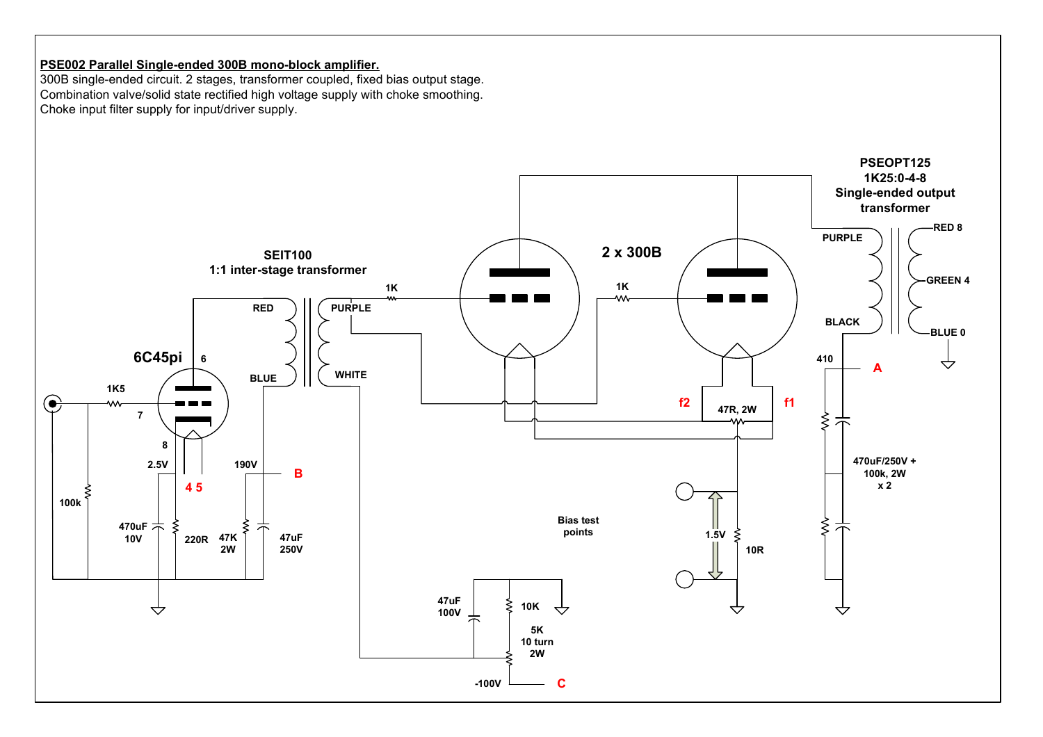# PSE002 Parallel Single-ended 300B mono-block amplifier.

 300B single-ended circuit. 2 stages, transformer coupled, fixed bias output stage. Combination valve/solid state rectified high voltage supply with choke smoothing. Choke input filter supply for input/driver supply.

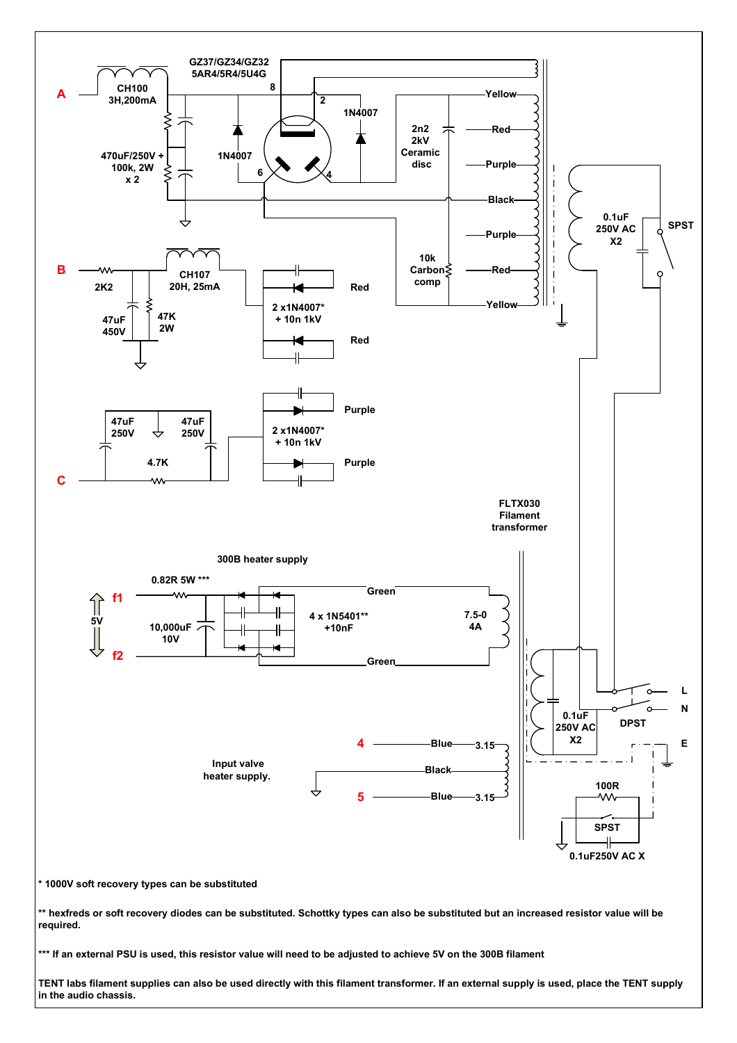

TENT labs filament supplies can also be used directly with this filament transformer. If an external supply is used, place the TENT supply in the audio chassis.